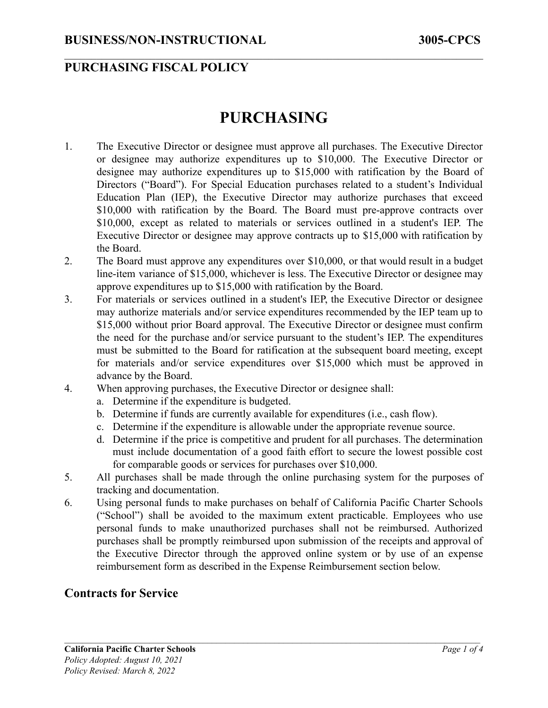### **PURCHASING FISCAL POLICY**

# **PURCHASING**

 $\mathcal{L}_\mathcal{L} = \{ \mathcal{L}_\mathcal{L} = \{ \mathcal{L}_\mathcal{L} = \{ \mathcal{L}_\mathcal{L} = \{ \mathcal{L}_\mathcal{L} = \{ \mathcal{L}_\mathcal{L} = \{ \mathcal{L}_\mathcal{L} = \{ \mathcal{L}_\mathcal{L} = \{ \mathcal{L}_\mathcal{L} = \{ \mathcal{L}_\mathcal{L} = \{ \mathcal{L}_\mathcal{L} = \{ \mathcal{L}_\mathcal{L} = \{ \mathcal{L}_\mathcal{L} = \{ \mathcal{L}_\mathcal{L} = \{ \mathcal{L}_\mathcal{$ 

- 1. The Executive Director or designee must approve all purchases. The Executive Director or designee may authorize expenditures up to \$10,000. The Executive Director or designee may authorize expenditures up to \$15,000 with ratification by the Board of Directors ("Board"). For Special Education purchases related to a student's Individual Education Plan (IEP), the Executive Director may authorize purchases that exceed \$10,000 with ratification by the Board. The Board must pre-approve contracts over \$10,000, except as related to materials or services outlined in a student's IEP. The Executive Director or designee may approve contracts up to \$15,000 with ratification by the Board.
- 2. The Board must approve any expenditures over \$10,000, or that would result in a budget line-item variance of \$15,000, whichever is less. The Executive Director or designee may approve expenditures up to \$15,000 with ratification by the Board.
- 3. For materials or services outlined in a student's IEP, the Executive Director or designee may authorize materials and/or service expenditures recommended by the IEP team up to \$15,000 without prior Board approval. The Executive Director or designee must confirm the need for the purchase and/or service pursuant to the student's IEP. The expenditures must be submitted to the Board for ratification at the subsequent board meeting, except for materials and/or service expenditures over \$15,000 which must be approved in advance by the Board.
- 4. When approving purchases, the Executive Director or designee shall:
	- a. Determine if the expenditure is budgeted.
	- b. Determine if funds are currently available for expenditures (i.e., cash flow).
	- c. Determine if the expenditure is allowable under the appropriate revenue source.
	- d. Determine if the price is competitive and prudent for all purchases. The determination must include documentation of a good faith effort to secure the lowest possible cost for comparable goods or services for purchases over \$10,000.
- 5. All purchases shall be made through the online purchasing system for the purposes of tracking and documentation.
- 6. Using personal funds to make purchases on behalf of California Pacific Charter Schools ("School") shall be avoided to the maximum extent practicable. Employees who use personal funds to make unauthorized purchases shall not be reimbursed. Authorized purchases shall be promptly reimbursed upon submission of the receipts and approval of the Executive Director through the approved online system or by use of an expense reimbursement form as described in the Expense Reimbursement section below.

#### **Contracts for Service**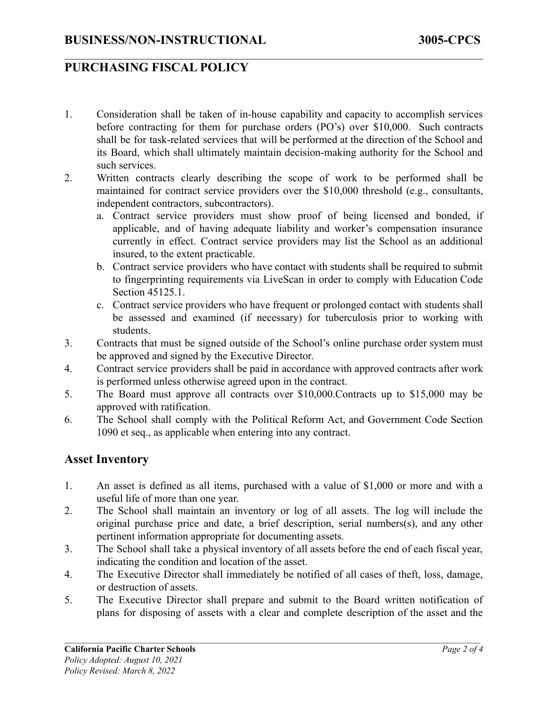### **PURCHASING FISCAL POLICY**

1. Consideration shall be taken of in-house capability and capacity to accomplish services before contracting for them for purchase orders (PO's) over \$10,000. Such contracts shall be for task-related services that will be performed at the direction of the School and its Board, which shall ultimately maintain decision-making authority for the School and such services.

 $\mathcal{L}_\mathcal{L} = \{ \mathcal{L}_\mathcal{L} = \{ \mathcal{L}_\mathcal{L} = \{ \mathcal{L}_\mathcal{L} = \{ \mathcal{L}_\mathcal{L} = \{ \mathcal{L}_\mathcal{L} = \{ \mathcal{L}_\mathcal{L} = \{ \mathcal{L}_\mathcal{L} = \{ \mathcal{L}_\mathcal{L} = \{ \mathcal{L}_\mathcal{L} = \{ \mathcal{L}_\mathcal{L} = \{ \mathcal{L}_\mathcal{L} = \{ \mathcal{L}_\mathcal{L} = \{ \mathcal{L}_\mathcal{L} = \{ \mathcal{L}_\mathcal{$ 

- 2. Written contracts clearly describing the scope of work to be performed shall be maintained for contract service providers over the \$10,000 threshold (e.g., consultants, independent contractors, subcontractors).
	- a. Contract service providers must show proof of being licensed and bonded, if applicable, and of having adequate liability and worker's compensation insurance currently in effect. Contract service providers may list the School as an additional insured, to the extent practicable.
	- b. Contract service providers who have contact with students shall be required to submit to fingerprinting requirements via LiveScan in order to comply with Education Code Section 45125.1.
	- c. Contract service providers who have frequent or prolonged contact with students shall be assessed and examined (if necessary) for tuberculosis prior to working with students.
- 3. Contracts that must be signed outside of the School's online purchase order system must be approved and signed by the Executive Director.
- 4. Contract service providers shall be paid in accordance with approved contracts after work is performed unless otherwise agreed upon in the contract.
- 5. The Board must approve all contracts over \$10,000.Contracts up to \$15,000 may be approved with ratification.
- 6. The School shall comply with the Political Reform Act, and Government Code Section 1090 et seq., as applicable when entering into any contract.

#### **Asset Inventory**

- 1. An asset is defined as all items, purchased with a value of \$1,000 or more and with a useful life of more than one year.
- 2. The School shall maintain an inventory or log of all assets. The log will include the original purchase price and date, a brief description, serial numbers(s), and any other pertinent information appropriate for documenting assets.
- 3. The School shall take a physical inventory of all assets before the end of each fiscal year, indicating the condition and location of the asset.
- 4. The Executive Director shall immediately be notified of all cases of theft, loss, damage, or destruction of assets.
- 5. The Executive Director shall prepare and submit to the Board written notification of plans for disposing of assets with a clear and complete description of the asset and the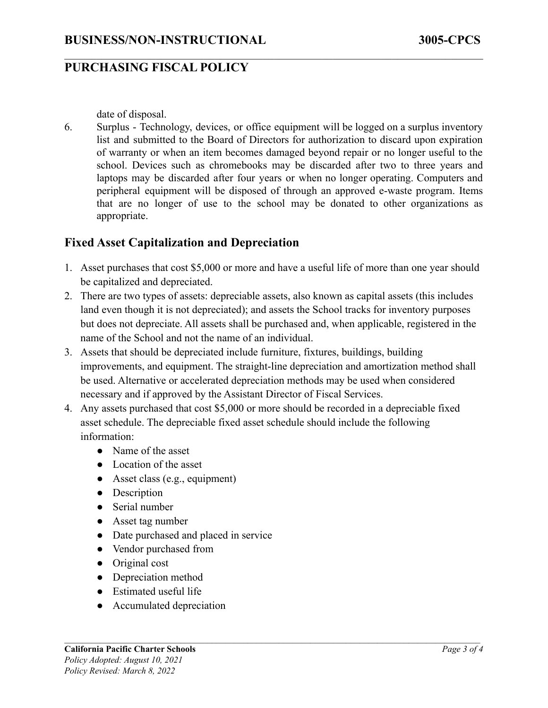#### **PURCHASING FISCAL POLICY**

date of disposal.

6. Surplus - Technology, devices, or office equipment will be logged on a surplus inventory list and submitted to the Board of Directors for authorization to discard upon expiration of warranty or when an item becomes damaged beyond repair or no longer useful to the school. Devices such as chromebooks may be discarded after two to three years and laptops may be discarded after four years or when no longer operating. Computers and peripheral equipment will be disposed of through an approved e-waste program. Items that are no longer of use to the school may be donated to other organizations as appropriate.

 $\mathcal{L}_\mathcal{L} = \{ \mathcal{L}_\mathcal{L} = \{ \mathcal{L}_\mathcal{L} = \{ \mathcal{L}_\mathcal{L} = \{ \mathcal{L}_\mathcal{L} = \{ \mathcal{L}_\mathcal{L} = \{ \mathcal{L}_\mathcal{L} = \{ \mathcal{L}_\mathcal{L} = \{ \mathcal{L}_\mathcal{L} = \{ \mathcal{L}_\mathcal{L} = \{ \mathcal{L}_\mathcal{L} = \{ \mathcal{L}_\mathcal{L} = \{ \mathcal{L}_\mathcal{L} = \{ \mathcal{L}_\mathcal{L} = \{ \mathcal{L}_\mathcal{$ 

#### **Fixed Asset Capitalization and Depreciation**

- 1. Asset purchases that cost \$5,000 or more and have a useful life of more than one year should be capitalized and depreciated.
- 2. There are two types of assets: depreciable assets, also known as capital assets (this includes land even though it is not depreciated); and assets the School tracks for inventory purposes but does not depreciate. All assets shall be purchased and, when applicable, registered in the name of the School and not the name of an individual.
- 3. Assets that should be depreciated include furniture, fixtures, buildings, building improvements, and equipment. The straight-line depreciation and amortization method shall be used. Alternative or accelerated depreciation methods may be used when considered necessary and if approved by the Assistant Director of Fiscal Services.
- 4. Any assets purchased that cost \$5,000 or more should be recorded in a depreciable fixed asset schedule. The depreciable fixed asset schedule should include the following information:
	- Name of the asset
	- Location of the asset
	- $\bullet$  Asset class (e.g., equipment)
	- Description
	- Serial number
	- Asset tag number
	- Date purchased and placed in service
	- Vendor purchased from
	- Original cost
	- Depreciation method
	- Estimated useful life
	- Accumulated depreciation